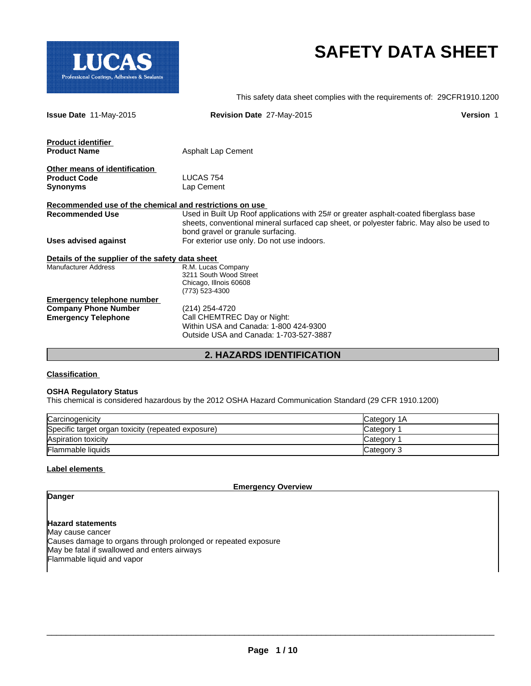

# **SAFETY DATA SHEET**

|                                                         | This safety data sheet complies with the requirements of: 29CFR1910.1200                  |                  |
|---------------------------------------------------------|-------------------------------------------------------------------------------------------|------------------|
| Issue Date 11-May-2015                                  | Revision Date 27-May-2015                                                                 | <b>Version 1</b> |
| <b>Product identifier</b>                               |                                                                                           |                  |
| <b>Product Name</b>                                     | <b>Asphalt Lap Cement</b>                                                                 |                  |
| Other means of identification                           |                                                                                           |                  |
| <b>Product Code</b>                                     | LUCAS 754                                                                                 |                  |
| <b>Synonyms</b>                                         | Lap Cement                                                                                |                  |
| Recommended use of the chemical and restrictions on use |                                                                                           |                  |
| <b>Recommended Use</b>                                  | Used in Built Up Roof applications with 25# or greater asphalt-coated fiberglass base     |                  |
|                                                         | sheets, conventional mineral surfaced cap sheet, or polyester fabric. May also be used to |                  |
|                                                         | bond gravel or granule surfacing.                                                         |                  |
| <b>Uses advised against</b>                             | For exterior use only. Do not use indoors.                                                |                  |
| Details of the supplier of the safety data sheet        |                                                                                           |                  |
| <b>Manufacturer Address</b>                             | R.M. Lucas Company                                                                        |                  |
|                                                         | 3211 South Wood Street                                                                    |                  |
|                                                         | Chicago, Illnois 60608                                                                    |                  |
| <b>Emergency telephone number</b>                       | (773) 523-4300                                                                            |                  |
| <b>Company Phone Number</b>                             | (214) 254-4720                                                                            |                  |
| <b>Emergency Telephone</b>                              | Call CHEMTREC Day or Night:                                                               |                  |
|                                                         | Within USA and Canada: 1-800 424-9300                                                     |                  |
|                                                         | Outside USA and Canada: 1-703-527-3887                                                    |                  |
|                                                         |                                                                                           |                  |

# **2. HAZARDS IDENTIFICATION**

**Classification** 

## **OSHA Regulatory Status**

This chemical is considered hazardous by the 2012 OSHA Hazard Communication Standard (29 CFR 1910.1200)

| Carcinogenicity                                    | Category 1A     |
|----------------------------------------------------|-----------------|
| Specific target organ toxicity (repeated exposure) | Category        |
| Aspiration toxicity                                | <b>Category</b> |
| Flammable liquids                                  | Category 3      |

## **Label elements**

**Emergency Overview**

**Danger**

**Hazard statements** May cause cancer Causes damage to organs through prolonged or repeated exposure May be fatal if swallowed and enters airways Flammable liquid and vapor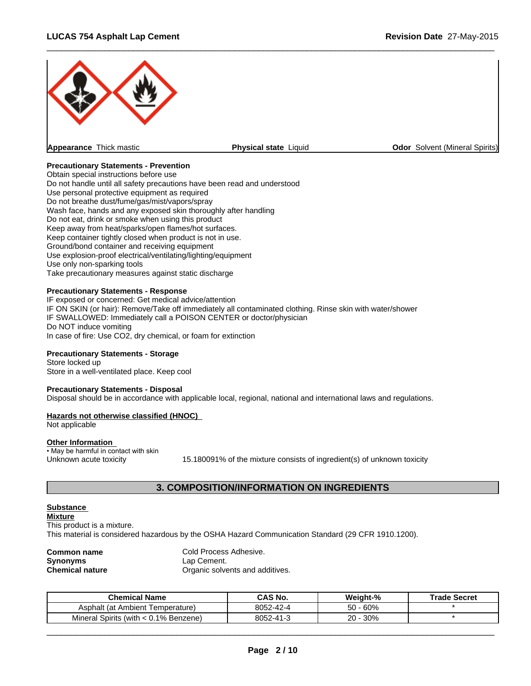

# **Precautionary Statements - Prevention**

Obtain special instructions before use Do not handle until all safety precautions have been read and understood Use personal protective equipment as required Do not breathe dust/fume/gas/mist/vapors/spray Wash face, hands and any exposed skin thoroughly after handling Do not eat, drink or smoke when using this product Keep away from heat/sparks/open flames/hot surfaces. Keep container tightly closed when product is not in use. Ground/bond container and receiving equipment Use explosion-proof electrical/ventilating/lighting/equipment Use only non-sparking tools Take precautionary measures against static discharge

## **Precautionary Statements - Response**

IF exposed or concerned: Get medical advice/attention IF ON SKIN (or hair): Remove/Take off immediately all contaminated clothing. Rinse skin with water/shower IF SWALLOWED: Immediately call a POISON CENTER or doctor/physician Do NOT induce vomiting In case of fire: Use CO2, dry chemical, or foam for extinction

## **Precautionary Statements - Storage**

Store locked up Store in a well-ventilated place. Keep cool

#### **Precautionary Statements - Disposal**

Disposal should be in accordance with applicable local, regional, national and international laws and regulations.

# **Hazards not otherwise classified (HNOC)**

Not applicable

## **Other Information**

• May be harmful in contact with skin

Unknown acute toxicity 15.180091% of the mixture consists of ingredient(s) of unknown toxicity

 $\overline{\phantom{a}}$  ,  $\overline{\phantom{a}}$  ,  $\overline{\phantom{a}}$  ,  $\overline{\phantom{a}}$  ,  $\overline{\phantom{a}}$  ,  $\overline{\phantom{a}}$  ,  $\overline{\phantom{a}}$  ,  $\overline{\phantom{a}}$  ,  $\overline{\phantom{a}}$  ,  $\overline{\phantom{a}}$  ,  $\overline{\phantom{a}}$  ,  $\overline{\phantom{a}}$  ,  $\overline{\phantom{a}}$  ,  $\overline{\phantom{a}}$  ,  $\overline{\phantom{a}}$  ,  $\overline{\phantom{a}}$ 

# **3. COMPOSITION/INFORMATION ON INGREDIENTS**

#### **Substance**

**Mixture** This product is a mixture.

This material is considered hazardous by the OSHA Hazard Communication Standard (29 CFR 1910.1200).

| Common name            |  |
|------------------------|--|
| Synonyms               |  |
| <b>Chemical nature</b> |  |

**Cold Process Adhesive.** Lap Cement. **Organic solvents and additives.** 

| <b>Chemical Name</b>                     | <b>CAS No.</b> | Weight-%     | <b>Trade Secret</b> |
|------------------------------------------|----------------|--------------|---------------------|
| Asphalt (at Ambient T<br>(lemperature    | 8052-42-4      | $-60%$<br>50 |                     |
| Mineral Spirits (with $< 0.1\%$ Benzene) | 8052-41-3      | 30%<br>20 -  |                     |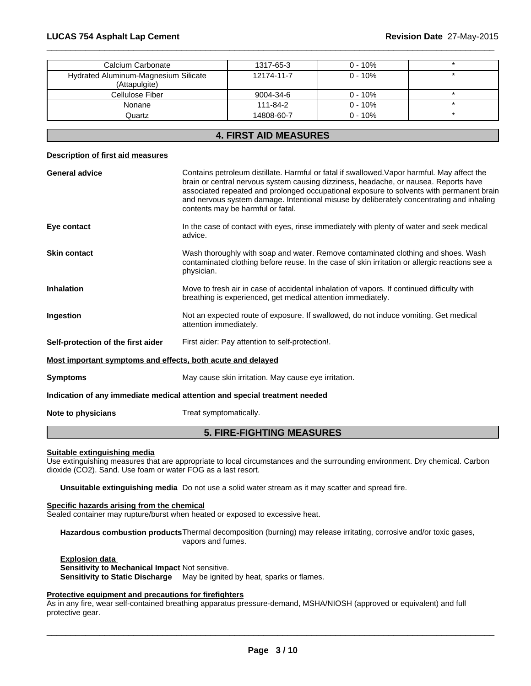| Calcium Carbonate                                                          |                                                 | 1317-65-3                                                                                                                                                                                                                | $0 - 10%$ |                                                                                                                                                                                      |
|----------------------------------------------------------------------------|-------------------------------------------------|--------------------------------------------------------------------------------------------------------------------------------------------------------------------------------------------------------------------------|-----------|--------------------------------------------------------------------------------------------------------------------------------------------------------------------------------------|
| Hydrated Aluminum-Magnesium Silicate<br>(Attapulgite)                      |                                                 | 12174-11-7                                                                                                                                                                                                               | $0 - 10%$ |                                                                                                                                                                                      |
| Cellulose Fiber                                                            |                                                 | 9004-34-6                                                                                                                                                                                                                | $0 - 10%$ | $\star$                                                                                                                                                                              |
| Nonane                                                                     |                                                 | 111-84-2                                                                                                                                                                                                                 | $0 - 10%$ | $\star$                                                                                                                                                                              |
| Quartz                                                                     |                                                 | 14808-60-7                                                                                                                                                                                                               | $0 - 10%$ |                                                                                                                                                                                      |
|                                                                            |                                                 | <b>4. FIRST AID MEASURES</b>                                                                                                                                                                                             |           |                                                                                                                                                                                      |
| <b>Description of first aid measures</b>                                   |                                                 |                                                                                                                                                                                                                          |           |                                                                                                                                                                                      |
| <b>General advice</b>                                                      |                                                 | Contains petroleum distillate. Harmful or fatal if swallowed. Vapor harmful. May affect the<br>brain or central nervous system causing dizziness, headache, or nausea. Reports have<br>contents may be harmful or fatal. |           | associated repeated and prolonged occupational exposure to solvents with permanent brain<br>and nervous system damage. Intentional misuse by deliberately concentrating and inhaling |
| Eye contact                                                                | advice.                                         | In the case of contact with eyes, rinse immediately with plenty of water and seek medical                                                                                                                                |           |                                                                                                                                                                                      |
| <b>Skin contact</b>                                                        | physician.                                      | Wash thoroughly with soap and water. Remove contaminated clothing and shoes. Wash                                                                                                                                        |           | contaminated clothing before reuse. In the case of skin irritation or allergic reactions see a                                                                                       |
| Inhalation                                                                 |                                                 | Move to fresh air in case of accidental inhalation of vapors. If continued difficulty with<br>breathing is experienced, get medical attention immediately.                                                               |           |                                                                                                                                                                                      |
| Ingestion                                                                  | attention immediately.                          | Not an expected route of exposure. If swallowed, do not induce vomiting. Get medical                                                                                                                                     |           |                                                                                                                                                                                      |
| Self-protection of the first aider                                         | First aider: Pay attention to self-protection!. |                                                                                                                                                                                                                          |           |                                                                                                                                                                                      |
| Most important symptoms and effects, both acute and delayed                |                                                 |                                                                                                                                                                                                                          |           |                                                                                                                                                                                      |
| <b>Symptoms</b>                                                            |                                                 | May cause skin irritation. May cause eye irritation.                                                                                                                                                                     |           |                                                                                                                                                                                      |
| Indication of any immediate medical attention and special treatment needed |                                                 |                                                                                                                                                                                                                          |           |                                                                                                                                                                                      |
| Note to physicians                                                         | Treat symptomatically.                          |                                                                                                                                                                                                                          |           |                                                                                                                                                                                      |
|                                                                            |                                                 |                                                                                                                                                                                                                          |           |                                                                                                                                                                                      |

# **5. FIRE-FIGHTING MEASURES**

## **Suitable extinguishing media**

Use extinguishing measures that are appropriate to local circumstances and the surrounding environment. Dry chemical. Carbon dioxide (CO2). Sand. Use foam or water FOG as a last resort.

**Unsuitable extinguishing media** Do not use a solid water stream as it may scatter and spread fire.

# **Specific hazards arising from the chemical**

Sealed container may rupture/burst when heated or exposed to excessive heat.

**Hazardous combustion products**Thermal decomposition (burning) may release irritating, corrosive and/or toxic gases, vapors and fumes.

**Explosion data** 

**Sensitivity to Mechanical Impact** Not sensitive. **Sensitivity to Static Discharge** May be ignited by heat, sparks or flames.

# **Protective equipment and precautions for firefighters**

As in any fire, wear self-contained breathing apparatus pressure-demand, MSHA/NIOSH (approved or equivalent) and full protective gear.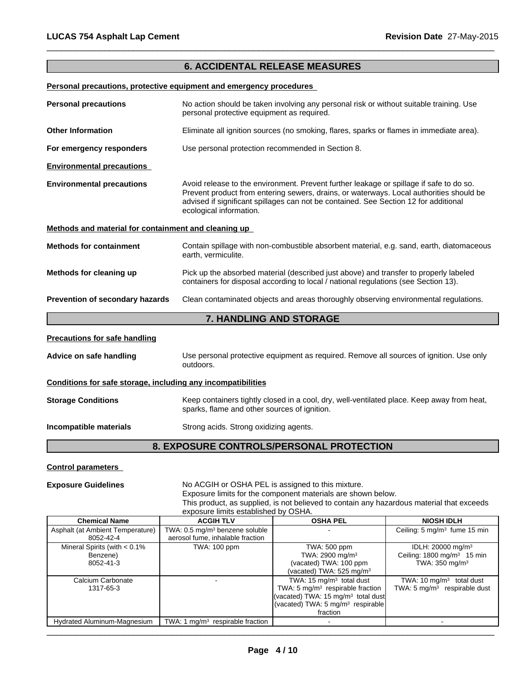# **6. ACCIDENTAL RELEASE MEASURES**

 $\overline{\phantom{a}}$  ,  $\overline{\phantom{a}}$  ,  $\overline{\phantom{a}}$  ,  $\overline{\phantom{a}}$  ,  $\overline{\phantom{a}}$  ,  $\overline{\phantom{a}}$  ,  $\overline{\phantom{a}}$  ,  $\overline{\phantom{a}}$  ,  $\overline{\phantom{a}}$  ,  $\overline{\phantom{a}}$  ,  $\overline{\phantom{a}}$  ,  $\overline{\phantom{a}}$  ,  $\overline{\phantom{a}}$  ,  $\overline{\phantom{a}}$  ,  $\overline{\phantom{a}}$  ,  $\overline{\phantom{a}}$ 

## **Personal precautions, protective equipment and emergency procedures**

| <b>Personal precautions</b>                                  | No action should be taken involving any personal risk or without suitable training. Use<br>personal protective equipment as required.                                                                                                                                                                 |  |  |
|--------------------------------------------------------------|-------------------------------------------------------------------------------------------------------------------------------------------------------------------------------------------------------------------------------------------------------------------------------------------------------|--|--|
| <b>Other Information</b>                                     | Eliminate all ignition sources (no smoking, flares, sparks or flames in immediate area).                                                                                                                                                                                                              |  |  |
| For emergency responders                                     | Use personal protection recommended in Section 8.                                                                                                                                                                                                                                                     |  |  |
| <b>Environmental precautions</b>                             |                                                                                                                                                                                                                                                                                                       |  |  |
| <b>Environmental precautions</b>                             | Avoid release to the environment. Prevent further leakage or spillage if safe to do so.<br>Prevent product from entering sewers, drains, or waterways. Local authorities should be<br>advised if significant spillages can not be contained. See Section 12 for additional<br>ecological information. |  |  |
| Methods and material for containment and cleaning up         |                                                                                                                                                                                                                                                                                                       |  |  |
| <b>Methods for containment</b>                               | Contain spillage with non-combustible absorbent material, e.g. sand, earth, diatomaceous<br>earth, vermiculite.                                                                                                                                                                                       |  |  |
| Methods for cleaning up                                      | Pick up the absorbed material (described just above) and transfer to properly labeled<br>containers for disposal according to local / national regulations (see Section 13).                                                                                                                          |  |  |
| Prevention of secondary hazards                              | Clean contaminated objects and areas thoroughly observing environmental regulations.                                                                                                                                                                                                                  |  |  |
|                                                              | 7. HANDLING AND STORAGE                                                                                                                                                                                                                                                                               |  |  |
| <b>Precautions for safe handling</b>                         |                                                                                                                                                                                                                                                                                                       |  |  |
| Advice on safe handling                                      | Use personal protective equipment as required. Remove all sources of ignition. Use only<br>outdoors.                                                                                                                                                                                                  |  |  |
| Conditions for safe storage, including any incompatibilities |                                                                                                                                                                                                                                                                                                       |  |  |
| <b>Storage Conditions</b>                                    | Keep containers tightly closed in a cool, dry, well-ventilated place. Keep away from heat,<br>sparks, flame and other sources of ignition.                                                                                                                                                            |  |  |

**Incompatible materials** Strong acids. Strong oxidizing agents.

**8. EXPOSURE CONTROLS/PERSONAL PROTECTION**

# **Control parameters**

**Exposure Guidelines** No ACGIH or OSHA PEL is assigned to this mixture. Exposure limits for the component materials are shown below. This product, as supplied, is not believed to contain any hazardous material that exceeds exposure limits established by OSHA.

| <b>Chemical Name</b>             | <b>ACGIH TLV</b>                           | <b>OSHA PEL</b>                                | <b>NIOSH IDLH</b>                        |
|----------------------------------|--------------------------------------------|------------------------------------------------|------------------------------------------|
| Asphalt (at Ambient Temperature) | TWA: 0.5 mg/m <sup>3</sup> benzene soluble |                                                | Ceiling: 5 mg/m <sup>3</sup> fume 15 min |
| 8052-42-4                        | aerosol fume, inhalable fraction           |                                                |                                          |
| Mineral Spirits (with $< 0.1\%$  | <b>TWA: 100 ppm</b>                        | TWA: 500 ppm                                   | IDLH: 20000 mg/m <sup>3</sup>            |
| Benzene)                         |                                            | TWA: $2900 \text{ mg/m}^3$                     | Ceiling: $1800 \text{ mg/m}^3$ 15 min    |
| 8052-41-3                        |                                            | (vacated) TWA: 100 ppm                         | TWA: 350 mg/m <sup>3</sup>               |
|                                  |                                            | (vacated) TWA: $525 \text{ mg/m}^3$            |                                          |
| Calcium Carbonate                |                                            | TWA: $15 \text{ mg/m}^3$ total dust            | TWA: 10 $mq/m3$ total dust               |
| 1317-65-3                        |                                            | TWA: 5 $mg/m3$ respirable fraction             | TWA: $5 \text{ mg/m}^3$ respirable dust  |
|                                  |                                            | (vacated) TWA: 15 mg/m <sup>3</sup> total dust |                                          |
|                                  |                                            | (vacated) TWA: 5 mg/m <sup>3</sup> respirable  |                                          |
|                                  |                                            | fraction                                       |                                          |
| Hydrated Aluminum-Magnesium      | TWA: 1 $mq/m3$ respirable fraction         |                                                |                                          |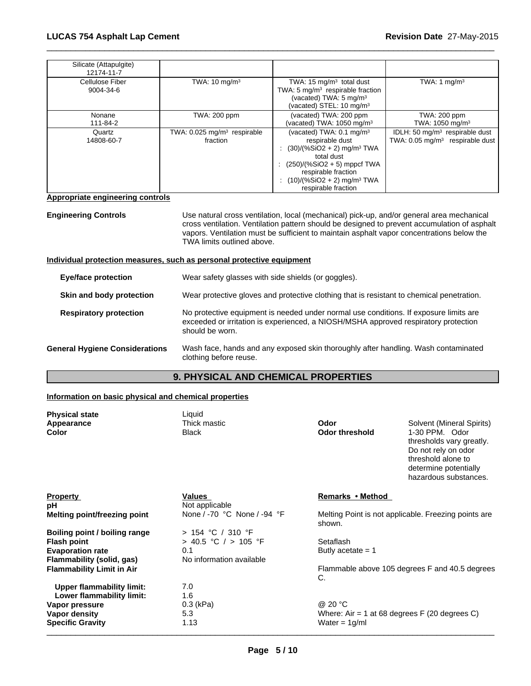| Silicate (Attapulgite)<br>12174-11-7 |                                                     |                                                                                                                                                                                                                                                 |                                                                                          |
|--------------------------------------|-----------------------------------------------------|-------------------------------------------------------------------------------------------------------------------------------------------------------------------------------------------------------------------------------------------------|------------------------------------------------------------------------------------------|
| Cellulose Fiber<br>9004-34-6         | TWA: $10 \text{ mg/m}^3$                            | TWA: 15 $mg/m3$ total dust<br>TWA: 5 $mg/m3$ respirable fraction<br>(vacated) TWA: 5 mg/m <sup>3</sup><br>(vacated) STEL: 10 mg/m <sup>3</sup>                                                                                                  | TWA: 1 $mq/m3$                                                                           |
| Nonane<br>111-84-2                   | <b>TWA: 200 ppm</b>                                 | (vacated) TWA: 200 ppm<br>(vacated) TWA: $1050 \text{ mg/m}^3$                                                                                                                                                                                  | TWA: 200 ppm<br>TWA: 1050 mg/m <sup>3</sup>                                              |
| Quartz<br>14808-60-7                 | TWA: 0.025 mg/m <sup>3</sup> respirable<br>fraction | (vacated) TWA: $0.1 \text{ mg/m}^3$<br>respirable dust<br>$(30)/(%SiO2 + 2)$ mg/m <sup>3</sup> TWA<br>total dust<br>: $(250)/(%SiO2 + 5)$ mppcf TWA<br>respirable fraction<br>: $(10)/(%SiO2 + 2)$ mg/m <sup>3</sup> TWA<br>respirable fraction | IDLH: 50 mg/m <sup>3</sup> respirable dust<br>TWA: $0.05 \text{ mg/m}^3$ respirable dust |

## **Appropriate engineering controls**

**Engineering Controls** Use natural cross ventilation, local (mechanical) pick-up, and/or general area mechanical cross ventilation. Ventilation pattern should be designed to prevent accumulation of asphalt vapors. Ventilation must be sufficient to maintain asphalt vapor concentrations below the TWA limits outlined above.

**Individual protection measures, such as personal protective equipment**

| <b>Eye/face protection</b>            | Wear safety glasses with side shields (or goggles).                                                                                                                                             |
|---------------------------------------|-------------------------------------------------------------------------------------------------------------------------------------------------------------------------------------------------|
| Skin and body protection              | Wear protective gloves and protective clothing that is resistant to chemical penetration.                                                                                                       |
| <b>Respiratory protection</b>         | No protective equipment is needed under normal use conditions. If exposure limits are<br>exceeded or irritation is experienced, a NIOSH/MSHA approved respiratory protection<br>should be worn. |
| <b>General Hygiene Considerations</b> | Wash face, hands and any exposed skin thoroughly after handling. Wash contaminated<br>clothing before reuse.                                                                                    |

# **9. PHYSICAL AND CHEMICAL PROPERTIES**

# **Information on basic physical and chemical properties**

| <b>Physical state</b>            | Liquid                      |                       |                                                                                                                                           |
|----------------------------------|-----------------------------|-----------------------|-------------------------------------------------------------------------------------------------------------------------------------------|
| Appearance                       | Thick mastic                | Odor                  | Solvent (Mineral Spirits)                                                                                                                 |
| Color                            | <b>Black</b>                | <b>Odor threshold</b> | 1-30 PPM. Odor<br>thresholds vary greatly.<br>Do not rely on odor<br>threshold alone to<br>determine potentially<br>hazardous substances. |
| <b>Property</b>                  | Values                      | Remarks • Method      |                                                                                                                                           |
| рH                               | Not applicable              |                       |                                                                                                                                           |
| Melting point/freezing point     | None / -70 °C None / -94 °F | shown.                | Melting Point is not applicable. Freezing points are                                                                                      |
| Boiling point / boiling range    | $> 154$ °C / 310 °F         |                       |                                                                                                                                           |
| <b>Flash point</b>               | > 40.5 °C / > 105 °F        | Setaflash             |                                                                                                                                           |
| <b>Evaporation rate</b>          | 0.1                         | Butly acetate $= 1$   |                                                                                                                                           |
| Flammability (solid, gas)        | No information available    |                       |                                                                                                                                           |
| <b>Flammability Limit in Air</b> |                             | C.                    | Flammable above 105 degrees F and 40.5 degrees                                                                                            |
| <b>Upper flammability limit:</b> | 7.0                         |                       |                                                                                                                                           |
| Lower flammability limit:        | 1.6                         |                       |                                                                                                                                           |
| Vapor pressure                   | $0.3$ (kPa)                 | @ 20 °C               |                                                                                                                                           |
| Vapor density                    | 5.3                         |                       | Where: Air = 1 at 68 degrees $F(20$ degrees C)                                                                                            |
| <b>Specific Gravity</b>          | 1.13                        | Water = $1g/ml$       |                                                                                                                                           |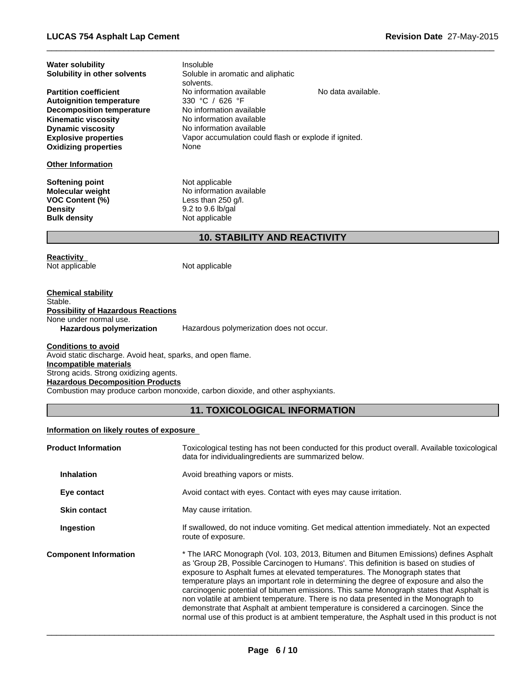**Water solubility**

| Solubility in other solvents                                    | Soluble in aromatic and aliphatic<br>solvents.        |                    |  |
|-----------------------------------------------------------------|-------------------------------------------------------|--------------------|--|
| <b>Partition coefficient</b><br><b>Autoignition temperature</b> | No information available<br>330 °C / 626 °F           | No data available. |  |
| <b>Decomposition temperature</b>                                | No information available                              |                    |  |
| <b>Kinematic viscosity</b>                                      | No information available                              |                    |  |
| <b>Dynamic viscosity</b>                                        | No information available                              |                    |  |
| <b>Explosive properties</b>                                     | Vapor accumulation could flash or explode if ignited. |                    |  |
| <b>Oxidizing properties</b>                                     | None                                                  |                    |  |
| <b>Other Information</b>                                        |                                                       |                    |  |
| <b>Softening point</b>                                          | Not applicable                                        |                    |  |
| <b>Molecular weight</b>                                         | No information available                              |                    |  |
| <b>VOC Content (%)</b>                                          | Less than $250$ g/l.                                  |                    |  |
| <b>Density</b>                                                  | $9.2$ to $9.6$ lb/gal                                 |                    |  |
| <b>Bulk density</b>                                             | Not applicable                                        |                    |  |
|                                                                 | <b>10. STABILITY AND REACTIVITY</b>                   |                    |  |
| <b>Reactivity</b><br>Not applicable                             | Not applicable                                        |                    |  |
|                                                                 |                                                       |                    |  |

 $\overline{\phantom{a}}$  ,  $\overline{\phantom{a}}$  ,  $\overline{\phantom{a}}$  ,  $\overline{\phantom{a}}$  ,  $\overline{\phantom{a}}$  ,  $\overline{\phantom{a}}$  ,  $\overline{\phantom{a}}$  ,  $\overline{\phantom{a}}$  ,  $\overline{\phantom{a}}$  ,  $\overline{\phantom{a}}$  ,  $\overline{\phantom{a}}$  ,  $\overline{\phantom{a}}$  ,  $\overline{\phantom{a}}$  ,  $\overline{\phantom{a}}$  ,  $\overline{\phantom{a}}$  ,  $\overline{\phantom{a}}$ 

**Chemical stability** Stable. **Possibility of Hazardous Reactions** None under normal use.<br>Hazardous polymerization Hazardous polymerization does not occur.

Insoluble

**Conditions to avoid** Avoid static discharge. Avoid heat, sparks, and open flame. **Incompatible materials** Strong acids. Strong oxidizing agents. **Hazardous Decomposition Products** Combustion may produce carbon monoxide, carbon dioxide, and other asphyxiants.

# **11. TOXICOLOGICAL INFORMATION**

# **Information on likely routes of exposure**

| <b>Product Information</b>   | Toxicological testing has not been conducted for this product overall. Available toxicological<br>data for individualing redients are summarized below.                                                                                                                                                                                                                                                                                                                                                                                                                                                                                                                                                                             |  |
|------------------------------|-------------------------------------------------------------------------------------------------------------------------------------------------------------------------------------------------------------------------------------------------------------------------------------------------------------------------------------------------------------------------------------------------------------------------------------------------------------------------------------------------------------------------------------------------------------------------------------------------------------------------------------------------------------------------------------------------------------------------------------|--|
| <b>Inhalation</b>            | Avoid breathing vapors or mists.                                                                                                                                                                                                                                                                                                                                                                                                                                                                                                                                                                                                                                                                                                    |  |
| Eye contact                  | Avoid contact with eyes. Contact with eyes may cause irritation.                                                                                                                                                                                                                                                                                                                                                                                                                                                                                                                                                                                                                                                                    |  |
| <b>Skin contact</b>          | May cause irritation.                                                                                                                                                                                                                                                                                                                                                                                                                                                                                                                                                                                                                                                                                                               |  |
| Ingestion                    | If swallowed, do not induce vomiting. Get medical attention immediately. Not an expected<br>route of exposure.                                                                                                                                                                                                                                                                                                                                                                                                                                                                                                                                                                                                                      |  |
| <b>Component Information</b> | * The IARC Monograph (Vol. 103, 2013, Bitumen and Bitumen Emissions) defines Asphalt<br>as 'Group 2B, Possible Carcinogen to Humans'. This definition is based on studies of<br>exposure to Asphalt fumes at elevated temperatures. The Monograph states that<br>temperature plays an important role in determining the degree of exposure and also the<br>carcinogenic potential of bitumen emissions. This same Monograph states that Asphalt is<br>non volatile at ambient temperature. There is no data presented in the Monograph to<br>demonstrate that Asphalt at ambient temperature is considered a carcinogen. Since the<br>normal use of this product is at ambient temperature, the Asphalt used in this product is not |  |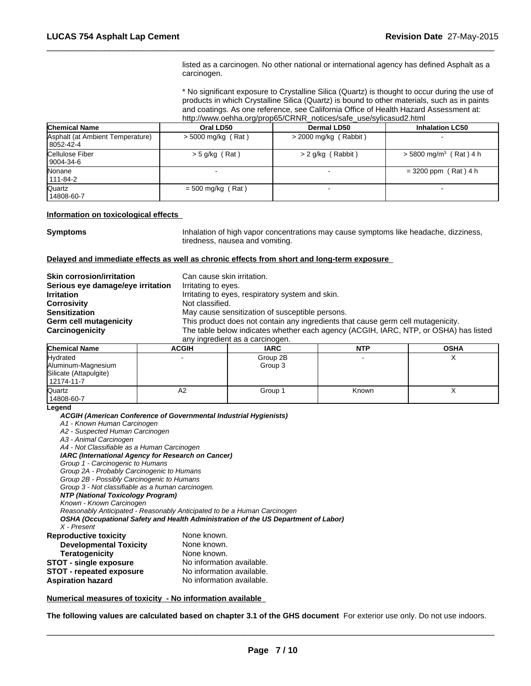listed as a carcinogen. No other national or international agency has defined Asphalt as a carcinogen.

 $\overline{\phantom{a}}$  ,  $\overline{\phantom{a}}$  ,  $\overline{\phantom{a}}$  ,  $\overline{\phantom{a}}$  ,  $\overline{\phantom{a}}$  ,  $\overline{\phantom{a}}$  ,  $\overline{\phantom{a}}$  ,  $\overline{\phantom{a}}$  ,  $\overline{\phantom{a}}$  ,  $\overline{\phantom{a}}$  ,  $\overline{\phantom{a}}$  ,  $\overline{\phantom{a}}$  ,  $\overline{\phantom{a}}$  ,  $\overline{\phantom{a}}$  ,  $\overline{\phantom{a}}$  ,  $\overline{\phantom{a}}$ 

\* No significant exposure to Crystalline Silica (Quartz) is thought to occur during the use of products in which Crystalline Silica (Quartz) is bound to other materials, such as in paints and coatings. As one reference, see California Office of Health Hazard Assessment at: http://www.oehha.org/prop65/CRNR\_notices/safe\_use/sylicasud2.html

| <b>Chemical Name</b>                            | Oral LD50            | Dermal LD50             | <b>Inhalation LC50</b>               |
|-------------------------------------------------|----------------------|-------------------------|--------------------------------------|
| Asphalt (at Ambient Temperature)<br>  8052-42-4 | $>$ 5000 mg/kg (Rat) | $>$ 2000 mg/kg (Rabbit) |                                      |
| <b>Cellulose Fiber</b><br>9004-34-6             | $>$ 5 g/kg (Rat)     | > 2 g/kg (Rabbit)       | $>$ 5800 mg/m <sup>3</sup> (Rat) 4 h |
| <b>Nonane</b><br>111-84-2                       |                      |                         | $=$ 3200 ppm (Rat) 4 h               |
| Quartz<br>14808-60-7                            | $= 500$ mg/kg (Rat)  |                         |                                      |

### **Information on toxicological effects**

**Symptoms Inhalation of high vapor concentrations may cause symptoms like headache, dizziness,** tiredness, nausea and vomiting.

#### **Delayed and immediate effects as well as chronic effects from short and long-term exposure**

| Serious eye damage/eye irritation<br>Irritating to eyes.<br><b>Irritation</b><br>Irritating to eyes, respiratory system and skin.<br><b>Corrosivity</b><br>Not classified.<br>May cause sensitization of susceptible persons.<br><b>Sensitization</b><br>This product does not contain any ingredients that cause germ cell mutagenicity.<br>Germ cell mutagenicity<br>The table below indicates whether each agency (ACGIH, IARC, NTP, or OSHA) has listed<br>Carcinogenicity | <b>Skin corrosion/irritation</b> | Can cause skin irritation.      |
|--------------------------------------------------------------------------------------------------------------------------------------------------------------------------------------------------------------------------------------------------------------------------------------------------------------------------------------------------------------------------------------------------------------------------------------------------------------------------------|----------------------------------|---------------------------------|
|                                                                                                                                                                                                                                                                                                                                                                                                                                                                                |                                  |                                 |
|                                                                                                                                                                                                                                                                                                                                                                                                                                                                                |                                  |                                 |
|                                                                                                                                                                                                                                                                                                                                                                                                                                                                                |                                  |                                 |
|                                                                                                                                                                                                                                                                                                                                                                                                                                                                                |                                  |                                 |
|                                                                                                                                                                                                                                                                                                                                                                                                                                                                                |                                  |                                 |
|                                                                                                                                                                                                                                                                                                                                                                                                                                                                                |                                  |                                 |
|                                                                                                                                                                                                                                                                                                                                                                                                                                                                                |                                  | any ingredient as a carcinogen. |

| <b>Chemical Name</b>                                                   | <b>ACGIH</b> | <b>IARC</b>         | <b>NTP</b> | <b>OSHA</b> |
|------------------------------------------------------------------------|--------------|---------------------|------------|-------------|
| Hydrated<br>Aluminum-Magnesium<br>Silicate (Attapulgite)<br>12174-11-7 |              | Group 2B<br>Group 3 |            |             |
| Quartz<br>14808-60-7                                                   | A2           | Group 1             | Known      | $\lambda$   |

#### **Legend**

*ACGIH (American Conference of Governmental Industrial Hygienists)*

*A1 - Known Human Carcinogen*

- *A2 Suspected Human Carcinogen*
- *A3 Animal Carcinogen*

*A4 - Not Classifiable as a Human Carcinogen*

*IARC (International Agency for Research on Cancer)*

*Group 1 - Carcinogenic to Humans*

*Group 2A - Probably Carcinogenic to Humans*

*Group 2B - Possibly Carcinogenic to Humans*

*Group 3 - Not classifiable as a human carcinogen.*

*NTP (National Toxicology Program)*

*Known - Known Carcinogen*

*Reasonably Anticipated - Reasonably Anticipated to be a Human Carcinogen*

*OSHA (Occupational Safety and Health Administration of the US Department of Labor) X - Present*

| <b>Reproductive toxicity</b>    | None known.               |
|---------------------------------|---------------------------|
| <b>Developmental Toxicity</b>   | None known.               |
| <b>Teratogenicity</b>           | None known.               |
| <b>STOT - single exposure</b>   | No information available. |
| <b>STOT - repeated exposure</b> | No information available. |
| <b>Aspiration hazard</b>        | No information available. |

#### **Numerical measures of toxicity - No information available**

**The following values are calculated based on chapter 3.1 of the GHS document** For exterior use only. Do not use indoors.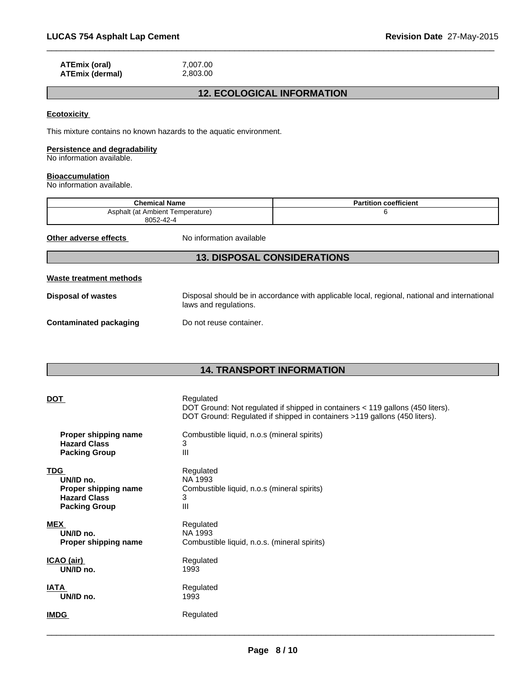| ATEmix (oral)   | 7.007.00 |
|-----------------|----------|
| ATEmix (dermal) | 2,803.00 |

# **12. ECOLOGICAL INFORMATION**

 $\overline{\phantom{a}}$  ,  $\overline{\phantom{a}}$  ,  $\overline{\phantom{a}}$  ,  $\overline{\phantom{a}}$  ,  $\overline{\phantom{a}}$  ,  $\overline{\phantom{a}}$  ,  $\overline{\phantom{a}}$  ,  $\overline{\phantom{a}}$  ,  $\overline{\phantom{a}}$  ,  $\overline{\phantom{a}}$  ,  $\overline{\phantom{a}}$  ,  $\overline{\phantom{a}}$  ,  $\overline{\phantom{a}}$  ,  $\overline{\phantom{a}}$  ,  $\overline{\phantom{a}}$  ,  $\overline{\phantom{a}}$ 

# **Ecotoxicity**

This mixture contains no known hazards to the aquatic environment.

# **Persistence and degradability**

No information available.

#### **Bioaccumulation**

No information available.

| <b>Chemical Name</b>                          |                          | <b>Partition coefficient</b> |
|-----------------------------------------------|--------------------------|------------------------------|
| Asphalt (at Ambient Temperature)<br>8052-42-4 |                          |                              |
| Other adverse effects                         | No information available |                              |

# **13. DISPOSAL CONSIDERATIONS**

| Waste treatment methods |  |
|-------------------------|--|
|                         |  |

**Disposal of wastes** Disposal should be in accordance with applicable local, regional, national and international laws and regulations.

**Contaminated packaging** Do not reuse container.

# **14. TRANSPORT INFORMATION**

| <b>DOT</b>           | Regulated<br>DOT Ground: Not regulated if shipped in containers < 119 gallons (450 liters).<br>DOT Ground: Regulated if shipped in containers >119 gallons (450 liters). |
|----------------------|--------------------------------------------------------------------------------------------------------------------------------------------------------------------------|
| Proper shipping name | Combustible liquid, n.o.s (mineral spirits)                                                                                                                              |
| <b>Hazard Class</b>  | 3                                                                                                                                                                        |
| <b>Packing Group</b> | III                                                                                                                                                                      |
| <b>TDG</b>           | Regulated                                                                                                                                                                |
| UN/ID no.            | NA 1993                                                                                                                                                                  |
| Proper shipping name | Combustible liquid, n.o.s (mineral spirits)                                                                                                                              |
| <b>Hazard Class</b>  | 3                                                                                                                                                                        |
| <b>Packing Group</b> | $\mathbf{III}$                                                                                                                                                           |
| <b>MEX</b>           | Regulated                                                                                                                                                                |
| UN/ID no.            | NA 1993                                                                                                                                                                  |
| Proper shipping name | Combustible liquid, n.o.s. (mineral spirits)                                                                                                                             |
| ICAO (air)           | Regulated                                                                                                                                                                |
| UN/ID no.            | 1993                                                                                                                                                                     |
| <b>IATA</b>          | Regulated                                                                                                                                                                |
| UN/ID no.            | 1993                                                                                                                                                                     |
| <b>IMDG</b>          | Regulated                                                                                                                                                                |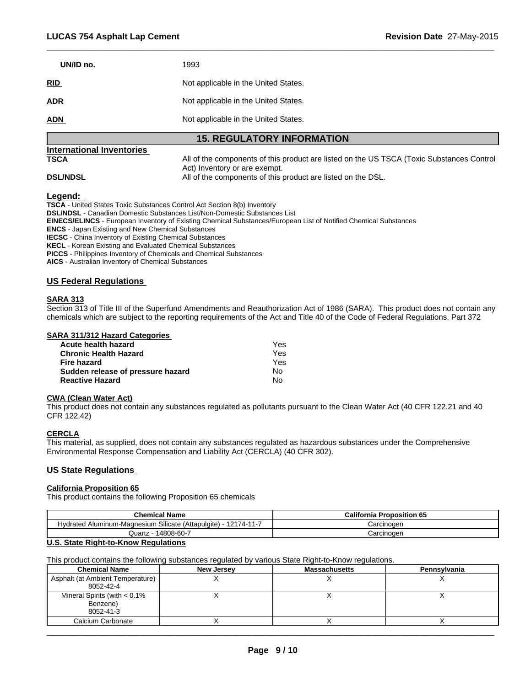| UN/ID no.  | 1993                                 |
|------------|--------------------------------------|
| <b>RID</b> | Not applicable in the United States. |
| <b>ADR</b> | Not applicable in the United States. |
| <b>ADN</b> | Not applicable in the United States. |

# **15. REGULATORY INFORMATION**

# **International Inventories**

**TSCA** All of the components of this product are listed on the US TSCA (Toxic Substances Control Act) Inventory or are exempt. **DSL/NDSL All of the components of this product are listed on the DSL.** 

 $\overline{\phantom{a}}$  ,  $\overline{\phantom{a}}$  ,  $\overline{\phantom{a}}$  ,  $\overline{\phantom{a}}$  ,  $\overline{\phantom{a}}$  ,  $\overline{\phantom{a}}$  ,  $\overline{\phantom{a}}$  ,  $\overline{\phantom{a}}$  ,  $\overline{\phantom{a}}$  ,  $\overline{\phantom{a}}$  ,  $\overline{\phantom{a}}$  ,  $\overline{\phantom{a}}$  ,  $\overline{\phantom{a}}$  ,  $\overline{\phantom{a}}$  ,  $\overline{\phantom{a}}$  ,  $\overline{\phantom{a}}$ 

**Legend:** 

**TSCA** - United States Toxic Substances Control Act Section 8(b) Inventory **DSL/NDSL** - Canadian Domestic Substances List/Non-Domestic Substances List **EINECS/ELINCS** - European Inventory of Existing Chemical Substances/European List of Notified Chemical Substances **ENCS** - Japan Existing and New Chemical Substances **IECSC** - China Inventory of Existing Chemical Substances **KECL** - Korean Existing and Evaluated Chemical Substances **PICCS** - Philippines Inventory of Chemicals and Chemical Substances **AICS** - Australian Inventory of Chemical Substances

# **US Federal Regulations**

## **SARA 313**

Section 313 of Title III of the Superfund Amendments and Reauthorization Act of 1986 (SARA). This product does not contain any chemicals which are subject to the reporting requirements of the Act and Title 40 of the Code of Federal Regulations, Part 372

#### **SARA 311/312 Hazard Categories**

| Acute health hazard               | Yes |
|-----------------------------------|-----|
| <b>Chronic Health Hazard</b>      | Yes |
| Fire hazard                       | Yes |
| Sudden release of pressure hazard | No. |
| <b>Reactive Hazard</b>            | N٥  |

# **CWA (Clean Water Act)**

This product does not contain any substances regulated as pollutants pursuant to the Clean Water Act (40 CFR 122.21 and 40 CFR 122.42)

# **CERCLA**

This material, as supplied, does not contain any substances regulated as hazardous substances under the Comprehensive Environmental Response Compensation and Liability Act (CERCLA) (40 CFR 302).

## **US State Regulations**

## **California Proposition 65**

This product contains the following Proposition 65 chemicals

| <b>Chemical Name</b>                                            | <b>California Proposition 65</b> |
|-----------------------------------------------------------------|----------------------------------|
| Hydrated Aluminum-Magnesium Silicate (Attapulgite) - 12174-11-7 | Carcinogen                       |
| 14808-60-7<br>Juartz ·                                          | Carcinogen                       |

# **U.S. State Right-to-Know Regulations**

This product contains the following substances regulated by various State Right-to-Know regulations.

| <b>Chemical Name</b>                                     | <b>New Jersey</b> | <b>Massachusetts</b> | Pennsylvania |
|----------------------------------------------------------|-------------------|----------------------|--------------|
| Asphalt (at Ambient Temperature)<br>8052-42-4            |                   |                      |              |
| Mineral Spirits (with $< 0.1\%$<br>Benzene)<br>8052-41-3 |                   |                      |              |
| Calcium Carbonate                                        |                   |                      |              |